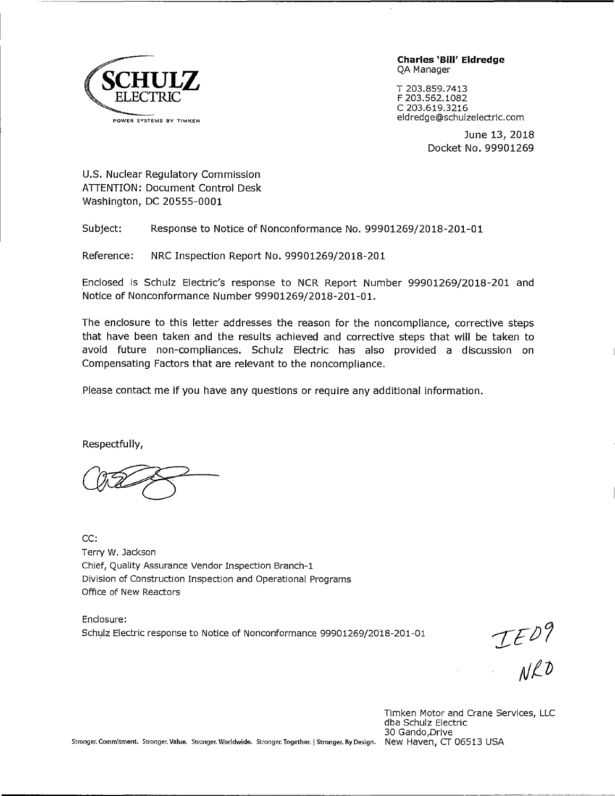

**Charles 'Bill' Eldredge**  QA Manager

T 203.859.7413 F 203.562.1082 C 203.619.3216 eldredge@schulzelectric.com

> June 13, 2018 Docket No. 99901269

U.S. Nuclear Regulatory Commission ATTENTION: Document Control Desk Washington, DC 20555-0001

Subject: Response to Notice of Nonconformance No. 99901269/2018-201-01

Reference: NRC Inspection Report No. 99901269/2018-201

Enclosed is Schulz Electric's response to NCR Report Number 99901269/2018-201 and Notice of Nonconformance Number 99901269/2018-201-01.

The enclosure to this letter addresses the reason for the noncompliance, corrective steps that have been taken and the results achieved and corrective steps that will be taken to avoid future non-compliances. Schulz Electric has also provided a discussion on Compensating Factors that are relevant to the noncompliance.

Please contact me if you have any questions or require any additional information.

Respectfully,

CC: Terry W. Jackson Chief, Quality Assurance Vendor Inspection Branch-1 Division of Construction Inspection and Operational Programs Office of New Reactors

Enclosure: Schulz Electric response to Notice of Nonconformance 99901269/2018-201-01

 $TED9$ 

Timken Motor and Crane Services, LLC dba Schulz Electric 30 Gando,Drive

Stronger.Commitment. Stronger. Value. Stronger. Worldwide. Stronger. Together. I Stronger. By Design. New Haven, CT 06513 USA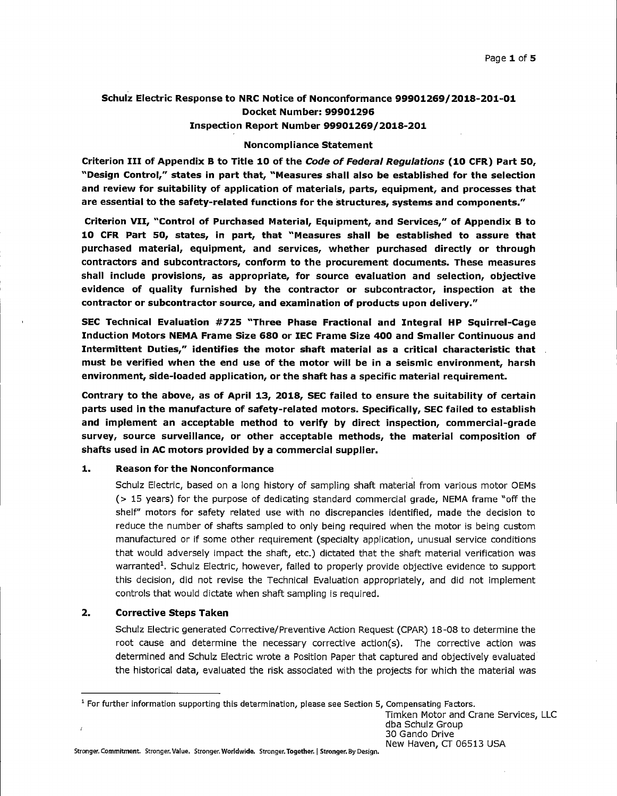# **Schulz Electric Response to NRC Notice of Nonconformance 99901269/2018-201-01 Docket Number: 99901296 Inspection Report Number 99901269/2018-201**

#### **Noncompliance Statement**

**Criterion** III **of Appendix B to Title 10 of the Code of Federal Regulations (10 CFR) Part 50, "Design Control," states in part that, "Measures shall also be established for the selection and review for suitability of application of materials, parts, equipment, and processes that are essential to the safety-related functions for the structures, systems and components.''** 

**Criterion VII, "Control of Purchased Material, Equipment, and Services," of Appendix B to 10 CFR Part so, states, in part, that "Measures shall be established to assure that purchased material, equipment, and services, whether purchased directly or through contractors and subcontractors, conform to the procurement documents. These measures shall include provisions, as appropriate, for source evaluation and selection, objective evidence of quality furnished by the contractor or subcontractor, inspection at the contractor or subcontractor source, and examination of products upon delivery."** 

**SEC Technical Evaluation #725 "Three Phase Fractional and Integral HP Squirrel-Cage Induction Motors NEMA Frame Size 680 or IEC Frame Size 400 and Smaller Continuous and Intermittent Duties," identifies the motor shaft material as a critical characteristic that must be verified when the end use of the motor will be in a seismic environment, harsh environment, side-loaded application, or the shaft has a specific material requirement.** 

**Contrary to the above, as of April 13, 2018, SEC failed to ensure the suitability of certain parts used in the manufacture of safety-related motors. Specifically, SEC failed to establish and implement an acceptable method to verify by direct inspection, commercial-grade survey, source surveillance, or other acceptable methods, the material composition of shafts used in AC motors provided by a commercial supplier.** 

## **1. Reason for the Nonconformance**

Schulz Electric, based on a long history of sampling shaft material from various motor OEMs (> 15 years) for the purpose of dedicating standard commercial grade, NEMA frame "off the shelf" motors for safety related use with no discrepancies identified, made the decision to reduce the number of shafts sampled to only being required when the motor is being custom manufactured or if some other requirement (specialty application, unusual service conditions that would adversely impact the shaft, etc.) dictated that the shaft material verification was warranted<sup>1</sup>. Schulz Electric, however, failed to properly provide objective evidence to support this decision, did not revise the Technical Evaluation appropriately, and did not implement controls that would dictate when shaft sampling is required.

# **2. Corrective Steps Taken**

Schulz Electric generated Corrective/Preventive Action Request (CPAR) 18-08 to determine the root cause and determine the necessary corrective action(s). The corrective action was determined and Schulz Electric wrote a Position Paper that captured and objectively evaluated the historical data, evaluated the risk associated with the projects for which the material was

Timken Motor and Crane Services, LLC dba Schulz Group 30 Gando Drive New Haven, CT 06513 USA

Stronger. Commitment. Stronger. Value. Stronger. **Worldwide.** Stronger. **Together.** I **Stronger.** By Design.

 $1$  For further information supporting this determination, please see Section 5, Compensating Factors.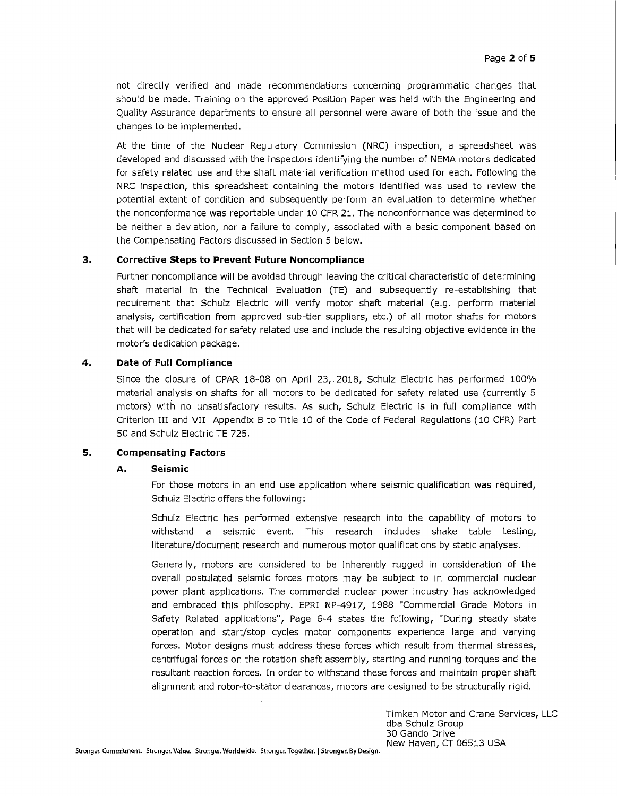not directly verified and made recommendations concerning programmatic changes that should be made. Training on the approved Position Paper was held with the Engineering and Quality Assurance departments to ensure all personnel were aware of both the issue and the changes to be implemented.

At the time of the Nuclear Regulatory Commission (NRC) inspection, a spreadsheet was developed and discussed with the inspectors identifying the number of NEMA motors dedicated for safety related use and the shaft material verification method used for each. Following the NRC inspection, this spreadsheet containing the motors identified was used to review the potential extent of condition and subsequently perform an evaluation to determine whether the nonconformance was reportable under 10 CFR 21. The nonconformance was determined to be neither a deviation, nor a failure to comply, associated with a basic component based on the Compensating Factors discussed in Section 5 below.

# **3. Corrective Steps to Prevent Future Noncompliance**

Further noncompliance will be avoided through leaving the critical characteristic of determining shaft material in the Technical Evaluation (TE) and subsequently re-establishing that requirement that Schulz Electric will verify motor shaft material (e.g. perform material analysis, certification from approved sub-tier suppliers, etc.) of all motor shafts for motors that will be dedicated for safety related use and include the resulting objective evidence in the motor's dedication package.

## **4. Date of Full Compliance**

Since the closure of CPAR 18-08 on April 23,. 2018, Schulz Electric has performed 100% material analysis on shafts for all motors to be dedicated for safety related use (currently 5 motors) with no unsatisfactory results. As such, Schulz Electric is in full compliance with Criterion III and VII Appendix B to Title 10 of the Code of Federal Regulations (10 CFR) Part 50 and Schulz Electric TE 725.

#### **5. Compensating Factors**

#### **A. Seismic**

For those motors in an end use application where seismic qualification was required, Schulz Electric offers the following:

Schulz Electric has performed extensive research into the capability of motors to withstand a seismic event. This research includes shake table testing, literature/document research and numerous motor qualifications by static analyses.

Generally, motors are considered to be inherently rugged in consideration of the overall postulated seismic forces motors may be subject to in commercial nuclear power plant applications. The commercial nuclear power industry has acknowledged and embraced this philosophy. EPRI NP-4917, 1988 "Commercial Grade Motors in Safety Related applications", Page 6-4 states the following, "During steady state operation and start/stop cycles motor components experience large and varying forces. Motor designs must address these forces which result from thermal stresses, centrifugal forces on the rotation shaft assembly, starting and running torques and the resultant reaction forces. In order to withstand these forces and maintain proper shaft alignment and rotor-to-stator clearances, motors are designed to be structurally rigid.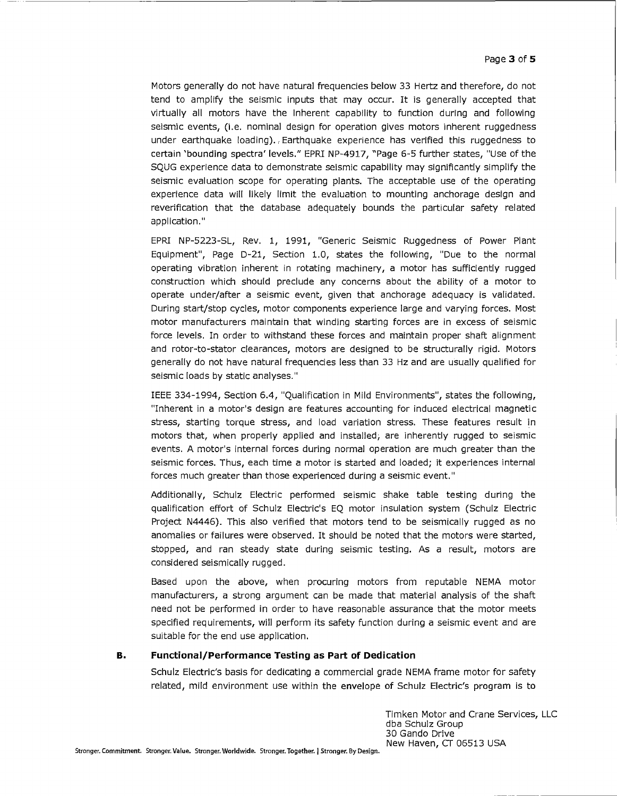Motors generally do not have natural frequencies below 33 Hertz and therefore, do not tend to amplify the seismic inputs that may occur. It is generally accepted that virtually all motors have the inherent capability to function during and following seismic events, (i.e. nominal design for operation gives motors inherent ruggedness under earthquake loading). Earthquake experience has verified this ruggedness to certain 'bounding spectra' levels." EPRI NP-4917, "Page 6-5 further states, "Use of the SQUG experience data to demonstrate seismic capability may significantly simplify the seismic evaluation scope for operating plants. The acceptable use of the operating experience data will likely limit the evaluation to mounting anchorage design and reverification that the database adequately bounds the particular safety related application."

EPRI NP-5223-SL, Rev. 1, 1991, "Generic Seismic Ruggedness of Power Plant Equipment", Page D-21, Section 1.0, states the following, "Due to the normal operating vibration inherent in rotating machinery, a motor has sufficiently rugged construction which should preclude any concerns about the ability of a motor to operate under/after a seismic event, given that anchorage adequacy is validated. During start/stop cycles, motor components experience large and varying forces. Most motor manufacturers maintain that winding starting forces are in excess of seismic force levels. In order to withstand these forces and maintain proper shaft alignment and rotor-to-stator clearances, motors are designed to be structurally rigid. Motors generally do not have natural frequencies less than 33 Hz and are usually qualified for seismic loads by static analyses."

IEEE 334-1994, Section 6.4, "Qualification in Mild Environments", states the following, "Inherent in a motor's design are features accounting for induced electrical magnetic stress, starting torque stress, and load variation stress. These features result in motors that, when properly applied and installed; are inherently rugged to seismic events. A motor's internal forces during normal operation are much greater than the seismic forces. Thus, each time a motor is started and loaded; it experiences internal forces much greater than those experienced during a seismic event."

Additionally, Schulz Electric performed seismic shake table testing during the qualification effort of Schulz Electric's EQ motor insulation system (Schulz Electric Project N4446). This also verified that motors tend to be seismically rugged as no anomalies or failures were observed. It should be noted that the motors were started, stopped, and ran steady state during seismic testing. As a result, motors are considered seismically rugged.

Based upon the above, when procuring motors from reputable NEMA motor manufacturers, a strong argument can be made that material analysis of the shaft need not be performed in order to have reasonable assurance that the motor meets specified requirements, will perform its safety function during a seismic event and are suitable for the end use application.

#### **B. Functional/Performance Testing as Part of Dedication**

Schulz Electric's basis for dedicating a commercial grade NEMA frame motor for safety related, mild environment use within the envelope of Schulz Electric's program is to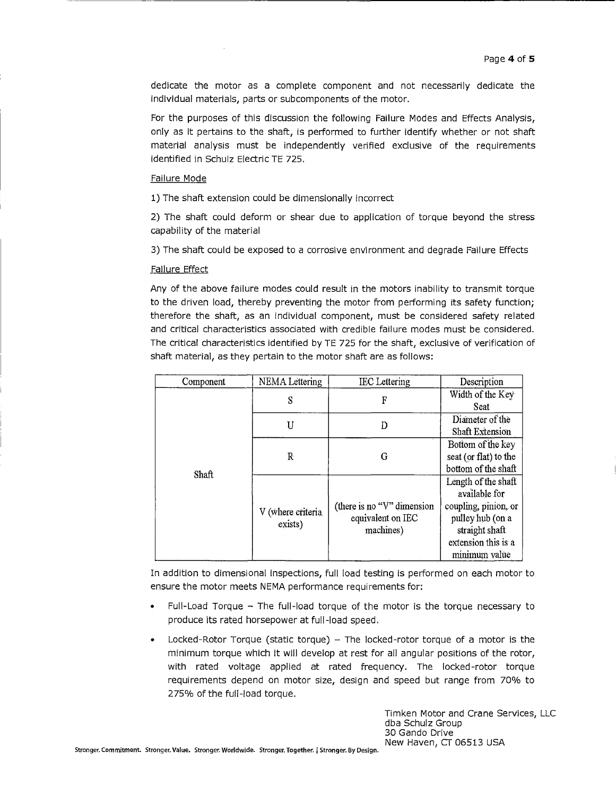dedicate the motor as a complete component and not necessarily dedicate the individual materials, parts or subcomponents of the motor.

For the purposes of this discussion the following Failure Modes and Effects Analysis, only as it pertains to the shaft, is performed to further identify whether or not shaft material analysis must be independently verified exclusive of the requirements identified in Schulz Electric TE 725.

### Failure Mode

1) The shaft extension could be dimensionally incorrect

2) The shaft could deform or shear due to application of torque beyond the stress capability of the material

3) The shaft could be exposed to a corrosive environment and degrade Failure Effects

## Failure Effect

Any of the above failure modes could result in the motors inability to transmit torque to the driven load, thereby preventing the motor from performing its safety function; therefore the shaft, as an individual component, must be considered safety related and critical characteristics associated with credible failure modes must be considered. The critical characteristics identified by TE 725 for the shaft, exclusive of verification of shaft material, as they pertain to the motor shaft are as follows:

| Component | <b>NEMA</b> Lettering        | <b>IEC</b> Lettering                                             | Description            |
|-----------|------------------------------|------------------------------------------------------------------|------------------------|
| Shaft     | S                            | F                                                                | Width of the Key       |
|           |                              |                                                                  | Seat                   |
|           | U                            | D                                                                | Diameter of the        |
|           |                              |                                                                  | <b>Shaft Extension</b> |
|           | R                            | G                                                                | Bottom of the key      |
|           |                              |                                                                  | seat (or flat) to the  |
|           |                              |                                                                  | bottom of the shaft    |
|           | V (where criteria<br>exists) | (there is no " $V$ " dimension<br>equivalent on IEC<br>machines) | Length of the shaft    |
|           |                              |                                                                  | available for          |
|           |                              |                                                                  | coupling, pinion, or   |
|           |                              |                                                                  | pulley hub (on a       |
|           |                              |                                                                  | straight shaft         |
|           |                              |                                                                  | extension this is a    |
|           |                              |                                                                  | minimum value          |

In addition to dimensional inspections, full load testing is performed on each motor to ensure the motor meets NEMA performance requirements for:

- Full-Load Torque The full-load torque of the motor is the torque necessary to produce its rated horsepower at full-load speed.
- Locked-Rotor Torque (static torque)  $-$  The locked-rotor torque of a motor is the minimum torque which it will develop at rest for all angular positions of the rotor, with rated voltage applied at rated frequency. The locked-rotor torque requirements depend on motor size, design and speed but range from 70% to 275% of the full-load torque.